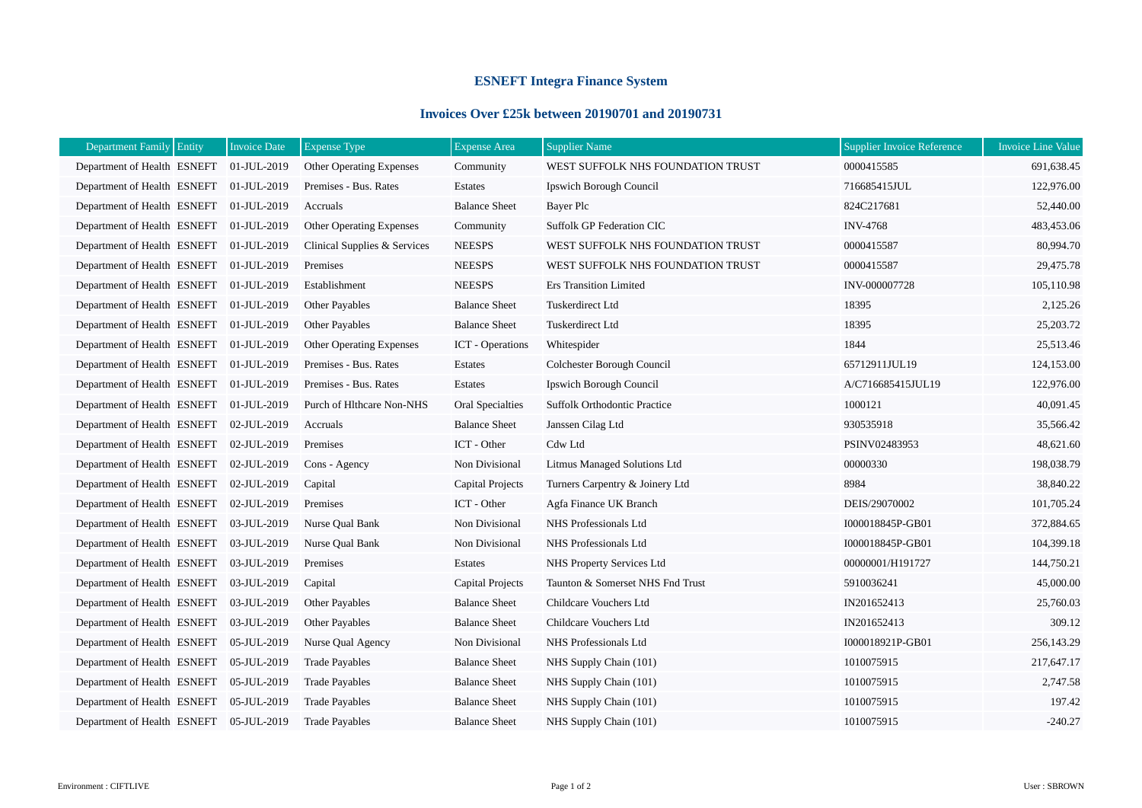## **ESNEFT Integra Finance System**

## **Invoices Over £25k between 20190701 and 20190731**

| Department Family Entity                | <b>Invoice Date</b> | <b>Expense Type</b>             | <b>Expense Area</b>     | <b>Supplier Name</b>                | <b>Supplier Invoice Reference</b> | <b>Invoice Line Value</b> |
|-----------------------------------------|---------------------|---------------------------------|-------------------------|-------------------------------------|-----------------------------------|---------------------------|
| Department of Health ESNEFT             | 01-JUL-2019         | <b>Other Operating Expenses</b> | Community               | WEST SUFFOLK NHS FOUNDATION TRUST   | 0000415585                        | 691,638.45                |
| Department of Health ESNEFT             | 01-JUL-2019         | Premises - Bus. Rates           | Estates                 | Ipswich Borough Council             | 716685415JUL                      | 122,976.00                |
| Department of Health ESNEFT             | 01-JUL-2019         | Accruals                        | <b>Balance Sheet</b>    | Bayer Plc                           | 824C217681                        | 52,440.00                 |
| Department of Health ESNEFT 01-JUL-2019 |                     | Other Operating Expenses        | Community               | Suffolk GP Federation CIC           | <b>INV-4768</b>                   | 483,453.06                |
| Department of Health ESNEFT             | 01-JUL-2019         | Clinical Supplies & Services    | <b>NEESPS</b>           | WEST SUFFOLK NHS FOUNDATION TRUST   | 0000415587                        | 80,994.70                 |
| Department of Health ESNEFT 01-JUL-2019 |                     | Premises                        | <b>NEESPS</b>           | WEST SUFFOLK NHS FOUNDATION TRUST   | 0000415587                        | 29,475.78                 |
| Department of Health ESNEFT             | 01-JUL-2019         | Establishment                   | <b>NEESPS</b>           | <b>Ers Transition Limited</b>       | INV-000007728                     | 105,110.98                |
| Department of Health ESNEFT             | 01-JUL-2019         | Other Payables                  | <b>Balance Sheet</b>    | Tuskerdirect Ltd                    | 18395                             | 2,125.26                  |
| Department of Health ESNEFT             | 01-JUL-2019         | Other Payables                  | <b>Balance Sheet</b>    | Tuskerdirect Ltd                    | 18395                             | 25,203.72                 |
| Department of Health ESNEFT             | 01-JUL-2019         | Other Operating Expenses        | <b>ICT</b> - Operations | Whitespider                         | 1844                              | 25,513.46                 |
| Department of Health ESNEFT             | 01-JUL-2019         | Premises - Bus. Rates           | Estates                 | Colchester Borough Council          | 65712911JUL19                     | 124,153.00                |
| Department of Health ESNEFT             | 01-JUL-2019         | Premises - Bus. Rates           | Estates                 | Ipswich Borough Council             | A/C716685415JUL19                 | 122,976.00                |
| Department of Health ESNEFT             | 01-JUL-2019         | Purch of Hlthcare Non-NHS       | Oral Specialties        | <b>Suffolk Orthodontic Practice</b> | 1000121                           | 40,091.45                 |
| Department of Health ESNEFT             | 02-JUL-2019         | Accruals                        | <b>Balance Sheet</b>    | Janssen Cilag Ltd                   | 930535918                         | 35,566.42                 |
| Department of Health ESNEFT             | 02-JUL-2019         | Premises                        | ICT - Other             | Cdw Ltd                             | PSINV02483953                     | 48,621.60                 |
| Department of Health ESNEFT             | 02-JUL-2019         | Cons - Agency                   | Non Divisional          | Litmus Managed Solutions Ltd        | 00000330                          | 198,038.79                |
| Department of Health ESNEFT             | 02-JUL-2019         | Capital                         | Capital Projects        | Turners Carpentry & Joinery Ltd     | 8984                              | 38,840.22                 |
| Department of Health ESNEFT             | 02-JUL-2019         | Premises                        | ICT - Other             | Agfa Finance UK Branch              | DEIS/29070002                     | 101,705.24                |
| Department of Health ESNEFT             | 03-JUL-2019         | Nurse Oual Bank                 | Non Divisional          | NHS Professionals Ltd               | I000018845P-GB01                  | 372,884.65                |
| Department of Health ESNEFT             | 03-JUL-2019         | Nurse Qual Bank                 | Non Divisional          | NHS Professionals Ltd               | I000018845P-GB01                  | 104,399.18                |
| Department of Health ESNEFT             | 03-JUL-2019         | Premises                        | Estates                 | NHS Property Services Ltd           | 00000001/H191727                  | 144,750.21                |
| Department of Health ESNEFT             | 03-JUL-2019         | Capital                         | Capital Projects        | Taunton & Somerset NHS Fnd Trust    | 5910036241                        | 45,000.00                 |
| Department of Health ESNEFT             | 03-JUL-2019         | Other Payables                  | <b>Balance Sheet</b>    | Childcare Vouchers Ltd              | IN201652413                       | 25,760.03                 |
| Department of Health ESNEFT             | 03-JUL-2019         | Other Payables                  | <b>Balance Sheet</b>    | Childcare Vouchers Ltd              | IN201652413                       | 309.12                    |
| Department of Health ESNEFT             | 05-JUL-2019         | Nurse Qual Agency               | Non Divisional          | NHS Professionals Ltd               | I000018921P-GB01                  | 256,143.29                |
| Department of Health ESNEFT             | 05-JUL-2019         | <b>Trade Payables</b>           | <b>Balance Sheet</b>    | NHS Supply Chain (101)              | 1010075915                        | 217,647.17                |
| Department of Health ESNEFT             | 05-JUL-2019         | <b>Trade Payables</b>           | <b>Balance Sheet</b>    | NHS Supply Chain (101)              | 1010075915                        | 2,747.58                  |
| Department of Health ESNEFT             | 05-JUL-2019         | <b>Trade Payables</b>           | <b>Balance Sheet</b>    | NHS Supply Chain (101)              | 1010075915                        | 197.42                    |
| Department of Health ESNEFT             | 05-JUL-2019         | <b>Trade Payables</b>           | <b>Balance Sheet</b>    | NHS Supply Chain (101)              | 1010075915                        | $-240.27$                 |